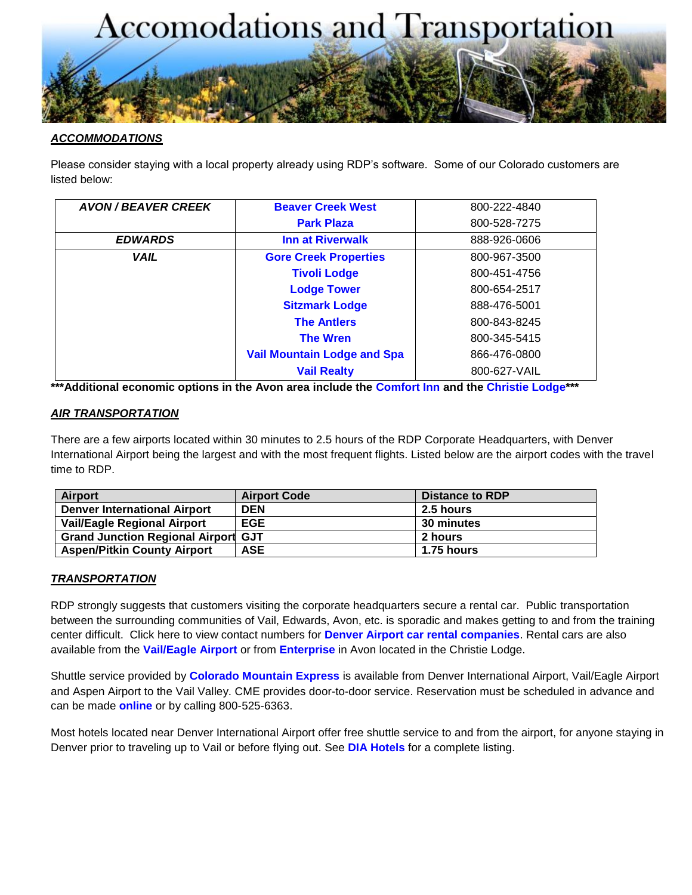

### *ACCOMMODATIONS*

Please consider staying with a local property already using RDP's software. Some of our Colorado customers are listed below:

| <b>AVON / BEAVER CREEK</b> | <b>Beaver Creek West</b>           | 800-222-4840 |
|----------------------------|------------------------------------|--------------|
|                            | <b>Park Plaza</b>                  | 800-528-7275 |
| <b>EDWARDS</b>             | <b>Inn at Riverwalk</b>            | 888-926-0606 |
| <b>VAIL</b>                | <b>Gore Creek Properties</b>       | 800-967-3500 |
|                            | <b>Tivoli Lodge</b>                | 800-451-4756 |
|                            | <b>Lodge Tower</b>                 | 800-654-2517 |
|                            | <b>Sitzmark Lodge</b>              | 888-476-5001 |
|                            | <b>The Antlers</b>                 | 800-843-8245 |
|                            | <b>The Wren</b>                    | 800-345-5415 |
|                            | <b>Vail Mountain Lodge and Spa</b> | 866-476-0800 |
|                            | <b>Vail Realty</b>                 | 800-627-VAIL |

**\*\*\*Additional economic options in the Avon area include the [Comfort Inn](http://www.comfortinn.com/hotel-avon-colorado-CO052) and the [Christie Lodge\\*](http://www.christielodge.com/)\*\***

### *AIR TRANSPORTATION*

There are a few airports located within 30 minutes to 2.5 hours of the RDP Corporate Headquarters, with Denver International Airport being the largest and with the most frequent flights. Listed below are the airport codes with the travel time to RDP.

| <b>Airport</b>                             | <b>Airport Code</b> | Distance to RDP |
|--------------------------------------------|---------------------|-----------------|
| <b>Denver International Airport</b>        | <b>DEN</b>          | 2.5 hours       |
| <b>Vail/Eagle Regional Airport</b>         | <b>EGE</b>          | 30 minutes      |
| <b>Grand Junction Regional Airport GJT</b> |                     | 2 hours         |
| <b>Aspen/Pitkin County Airport</b>         | <b>ASE</b>          | 1.75 hours      |

#### *TRANSPORTATION*

RDP strongly suggests that customers visiting the corporate headquarters secure a rental car. Public transportation between the surrounding communities of Vail, Edwards, Avon, etc. is sporadic and makes getting to and from the training center difficult. Click here to view contact numbers for **[Denver Airport car rental companies](http://flydenver.com/rentalcars)**. Rental cars are also available from the **[Vail/Eagle Airport](http://www.flyvail.com/html/parkingtransportation/rental-cars.html)** or from **[Enterprise](http://www.enterprise.com/car_rental/deeplinkmap.do?gpbr=1224&bid=004&cnty=US)** in Avon located in the Christie Lodge.

Shuttle service provided by **[Colorado Mountain Express](http://www.coloradomountainexpress.com/)** is available from Denver International Airport, Vail/Eagle Airport and Aspen Airport to the Vail Valley. CME provides door-to-door service. Reservation must be scheduled in advance and can be made **[online](http://www.coloradomountainexpress.com/)** or by calling 800-525-6363.

Most hotels located near Denver International Airport offer free shuttle service to and from the airport, for anyone staying in Denver prior to traveling up to Vail or before flying out. See **[DIA Hotels](http://flydenver.com/hotelshuttles)** for a complete listing.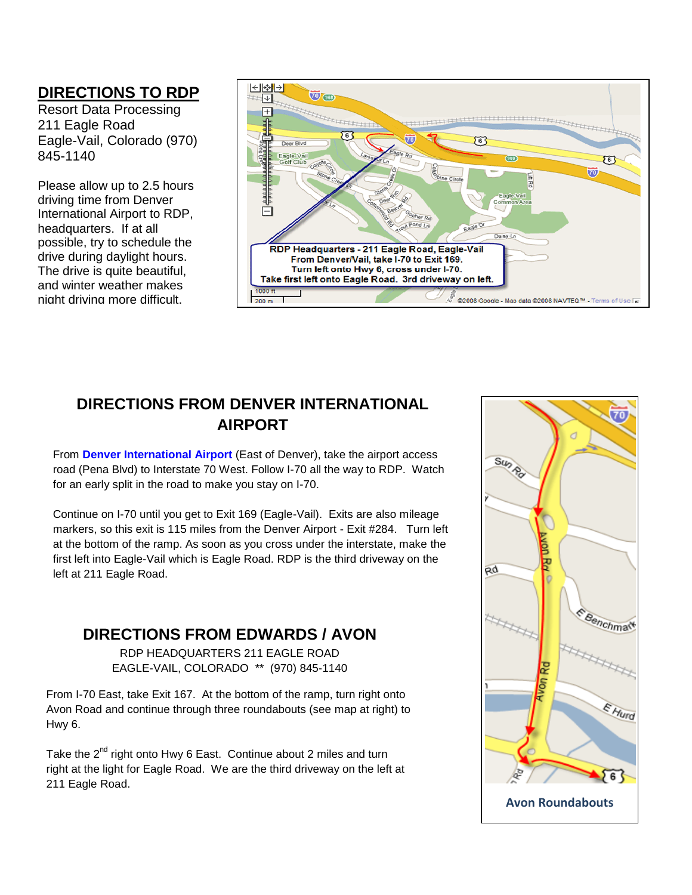### **DIRECTIONS TO RDP**

Resort Data Processing 211 Eagle Road Eagle-Vail, Colorado (970) 845-1140

Please allow up to 2.5 hours driving time from Denver International Airport to RDP, headquarters. If at all possible, try to schedule the drive during daylight hours. The drive is quite beautiful, and winter weather makes night driving more difficult.



## **DIRECTIONS FROM DENVER INTERNATIONAL AIRPORT**

From **[Denver International Airport](http://www.flydenver.com/)** (East of Denver), take the airport access road (Pena Blvd) to Interstate 70 West. Follow I-70 all the way to RDP. Watch for an early split in the road to make you stay on I-70.

Continue on I-70 until you get to Exit 169 (Eagle-Vail). Exits are also mileage markers, so this exit is 115 miles from the Denver Airport - Exit #284. Turn left at the bottom of the ramp. As soon as you cross under the interstate, make the first left into Eagle-Vail which is Eagle Road. RDP is the third driveway on the left at 211 Eagle Road.

## **DIRECTIONS FROM EDWARDS / AVON**

RDP HEADQUARTERS 211 EAGLE ROAD EAGLE-VAIL, COLORADO \*\* (970) 845-1140

From I-70 East, take Exit 167. At the bottom of the ramp, turn right onto Avon Road and continue through three roundabouts (see map at right) to Hwy 6.

Take the 2<sup>nd</sup> right onto Hwy 6 East. Continue about 2 miles and turn right at the light for Eagle Road. We are the third driveway on the left at 211 Eagle Road.